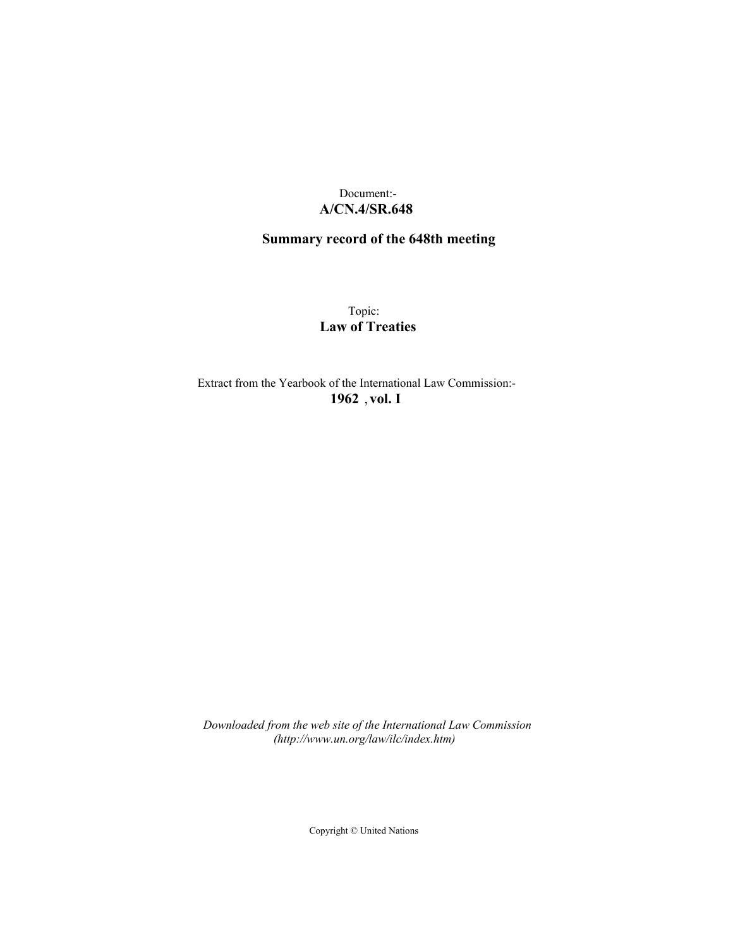## Document:- **A/CN.4/SR.648**

# **Summary record of the 648th meeting**

Topic: **Law of Treaties**

Extract from the Yearbook of the International Law Commission:- **1962** ,**vol. I**

*Downloaded from the web site of the International Law Commission (http://www.un.org/law/ilc/index.htm)*

Copyright © United Nations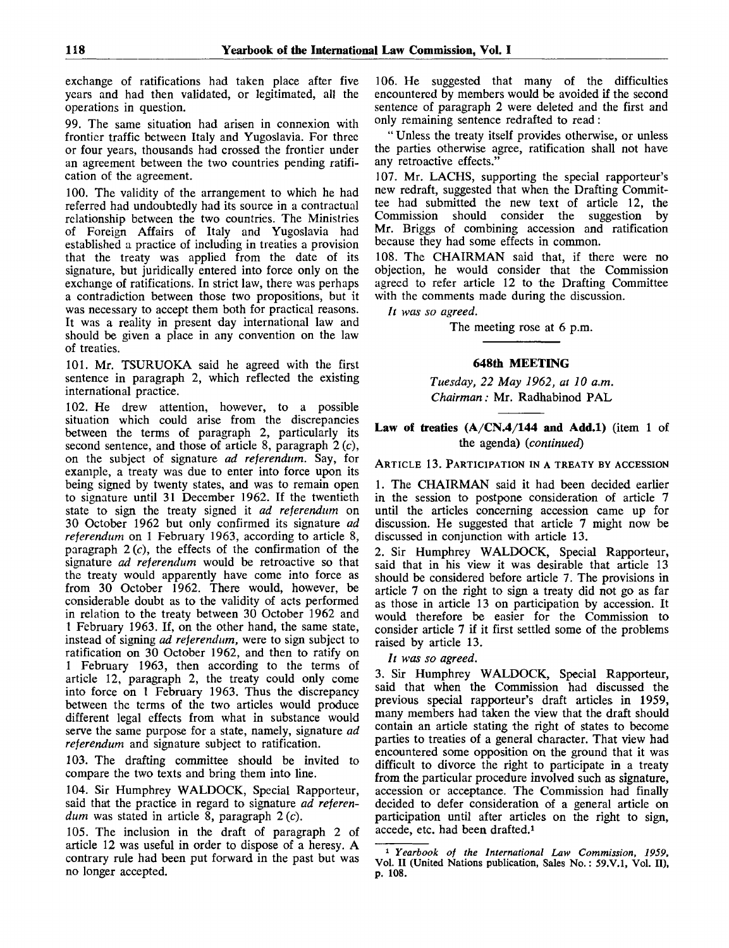exchange of ratifications had taken place after five years and had then validated, or legitimated, all the operations in question.

99. The same situation had arisen in connexion with frontier traffic between Italy and Yugoslavia. For three or four years, thousands had crossed the frontier under an agreement between the two countries pending ratification of the agreement.

100. The validity of the arrangement to which he had referred had undoubtedly had its source in a contractual relationship between the two countries. The Ministries of Foreign Affairs of Italy and Yugoslavia had established a practice of including in treaties a provision that the treaty was applied from the date of its signature, but juridically entered into force only on the exchange of ratifications. In strict law, there was perhaps a contradiction between those two propositions, but it was necessary to accept them both for practical reasons. It was a reality in present day international law and should be given a place in any convention on the law of treaties.

101. Mr. TSURUOKA said he agreed with the first sentence in paragraph 2, which reflected the existing international practice.

102. He drew attention, however, to a possible situation which could arise from the discrepancies between the terms of paragraph 2, particularly its second sentence, and those of article 8, paragraph  $2(c)$ , on the subject of signature *ad referendum.* Say, for example, a treaty was due to enter into force upon its being signed by twenty states, and was to remain open to signature until 31 December 1962. If the twentieth state to sign the treaty signed it *ad referendum* on 30 October 1962 but only confirmed its signature *ad referendum* on 1 February 1963, according to article 8, paragraph  $2(c)$ , the effects of the confirmation of the signature *ad referendum* would be retroactive so that the treaty would apparently have come into force as from 30 October 1962. There would, however, be considerable doubt as to the validity of acts performed in relation to the treaty between 30 October 1962 and 1 February 1963. If, on the other hand, the same state, instead of signing *ad referendum,* were to sign subject to ratification on 30 October 1962, and then to ratify on 1 February 1963, then according to the terms of article 12, paragraph 2, the treaty could only come into force on 1 February 1963. Thus the discrepancy between the terms of the two articles would produce different legal effects from what in substance would serve the same purpose for a state, namely, signature *ad referendum* and signature subject to ratification.

103. The drafting committee should be invited to compare the two texts and bring them into line.

104. Sir Humphrey WALDOCK, Special Rapporteur, said that the practice in regard to signature *ad referendum* was stated in article 8, paragraph 2 (c).

105. The inclusion in the draft of paragraph 2 of article 12 was useful in order to dispose of a heresy. A contrary rule had been put forward in the past but was no longer accepted.

106. He suggested that many of the difficulties encountered by members would be avoided if the second sentence of paragraph 2 were deleted and the first and only remaining sentence redrafted to read:

" Unless the treaty itself provides otherwise, or unless the parties otherwise agree, ratification shall not have any retroactive effects.'

107. Mr. LACHS, supporting the special rapporteur's new redraft, suggested that when the Drafting Committee had submitted the new text of article 12, the Commission should consider the suggestion by Mr. Briggs of combining accession and ratification because they had some effects in common.

108. The CHAIRMAN said that, if there were no objection, he would consider that the Commission agreed to refer article 12 to the Drafting Committee with the comments made during the discussion.

*It was so agreed.*

The meeting rose at 6 p.m.

## **648th MEETING**

*Tuesday, 22 May 1962, at 10 a.m. Chairman:* Mr. Radhabinod PAL

## **Law of treaties (A/CN.4/144 and Add.l)** (item 1 of the agenda) *{continued)*

#### ARTICLE 13. PARTICIPATION IN A TREATY BY ACCESSION

1. The CHAIRMAN said it had been decided earlier in the session to postpone consideration of article 7 until the articles concerning accession came up for discussion. He suggested that article 7 might now be discussed in conjunction with article 13.

2. Sir Humphrey WALDOCK, Special Rapporteur, said that in his view it was desirable that article 13 should be considered before article 7. The provisions in article 7 on the right to sign a treaty did not go as far as those in article 13 on participation by accession. It would therefore be easier for the Commission to consider article 7 if it first settled some of the problems raised by article 13.

// *was so agreed.*

3. Sir Humphrey WALDOCK, Special Rapporteur, said that when the Commission had discussed the previous special rapporteur's draft articles in 1959, many members had taken the view that the draft should contain an article stating the right of states to become parties to treaties of a general character. That view had encountered some opposition on the ground that it was difficult to divorce the right to participate in a treaty from the particular procedure involved such as signature, accession or acceptance. The Commission had finally decided to defer consideration of a general article on participation until after articles on the right to sign, accede, etc. had been drafted.<sup>1</sup>

<sup>1</sup>  *Yearbook of the International Law Commission, 1959,* Vol. II (United Nations publication, Sales No.: 59.V.1, Vol. II), p. 108.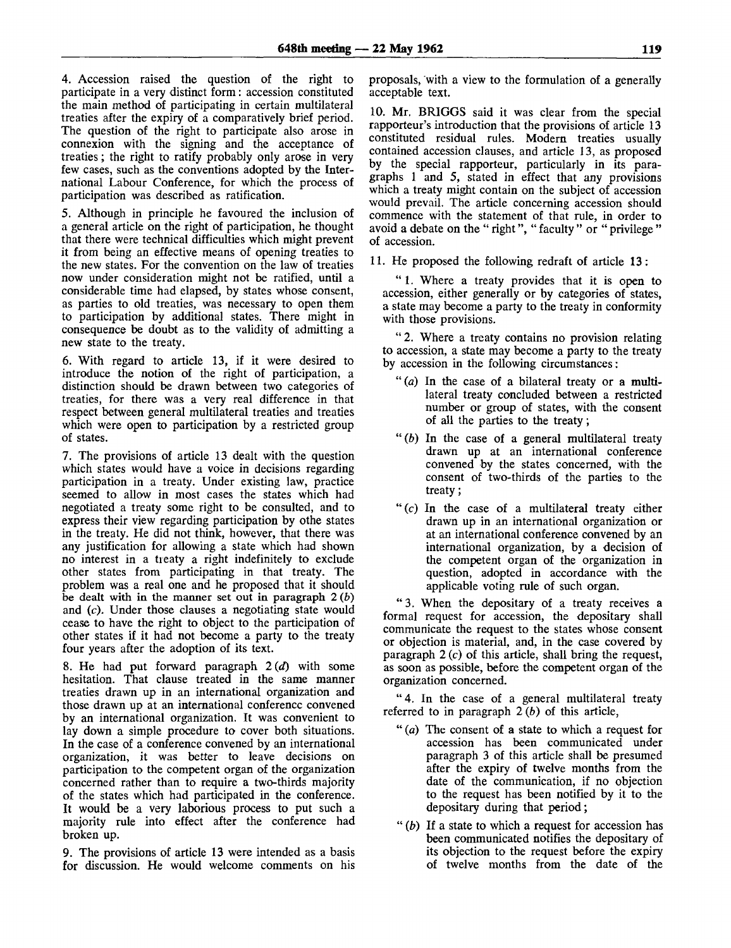4. Accession raised the question of the right to participate in a very distinct form: accession constituted the main method of participating in certain multilateral treaties after the expiry of a comparatively brief period. The question of the right to participate also arose in connexion with the signing and the acceptance of treaties; the right to ratify probably only arose in very few cases, such as the conventions adopted by the International Labour Conference, for which the process of participation was described as ratification.

5. Although in principle he favoured the inclusion of a general article on the right of participation, he thought that there were technical difficulties which might prevent it from being an effective means of opening treaties to the new states. For the convention on the law of treaties now under consideration might not be ratified, until a considerable time had elapsed, by states whose consent, as parties to old treaties, was necessary to open them to participation by additional states. There might in consequence be doubt as to the validity of admitting a new state to the treaty.

6. With regard to article 13, if it were desired to introduce the notion of the right of participation, a distinction should be drawn between two categories of treaties, for there was a very real difference in that respect between general multilateral treaties and treaties which were open to participation by a restricted group of states.

7. The provisions of article 13 dealt with the question which states would have a voice in decisions regarding participation in a treaty. Under existing law, practice seemed to allow in most cases the states which had negotiated a treaty some right to be consulted, and to express their view regarding participation by othe states in the treaty. He did not think, however, that there was any justification for allowing a state which had shown no interest in a treaty a right indefinitely to exclude other states from participating in that treaty. The problem was a real one and he proposed that it should be dealt with in the manner set out in paragraph 2 *(b)* and (c). Under those clauses a negotiating state would cease to have the right to object to the participation of other states if it had not become a party to the treaty four years after the adoption of its text.

8. He had put forward paragraph *2{d)* with some hesitation. That clause treated in the same manner treaties drawn up in an international organization and those drawn up at an international conference convened by an international organization. It was convenient to lay down a simple procedure to cover both situations. In the case of a conference convened by an international organization, it was better to leave decisions on participation to the competent organ of the organization concerned rather than to require a two-thirds majority of the states which had participated in the conference. It would be a very laborious process to put such a majority rule into effect after the conference had broken up.

9. The provisions of article 13 were intended as a basis for discussion. He would welcome comments on his

proposals, with a view to the formulation of a generally acceptable text.

10. Mr. BRIGGS said it was clear from the special rapporteur's introduction that the provisions of article 13 constituted residual rules. Modern treaties usually contained accession clauses, and article 13, as proposed by the special rapporteur, particularly in its paragraphs 1 and 5, stated in effect that any provisions which a treaty might contain on the subject of accession would prevail. The article concerning accession should commence with the statement of that rule, in order to avoid a debate on the " right", " faculty " or " privilege " of accession.

11. He proposed the following redraft of article 13:

" 1. Where a treaty provides that it is open to accession, either generally or by categories of states, a state may become a party to the treaty in conformity with those provisions.

" 2. Where a treaty contains no provision relating to accession, a state may become a party to the treaty by accession in the following circumstances:

- "(a) In the case of a bilateral treaty or a multilateral treaty concluded between a restricted number or group of states, with the consent of all the parties to the treaty;
- *"(b)* In the case of a general multilateral treaty drawn up at an international conference convened by the states concerned, with the consent of two-thirds of the parties to the treaty;
- " (c) In the case of a multilateral treaty either drawn up in an international organization or at an international conference convened by an international organization, by a decision of the competent organ of the organization in question, adopted in accordance with the applicable voting rule of such organ.

" 3. When the depositary of a treaty receives a formal request for accession, the depositary shall communicate the request to the states whose consent or objection is material, and, in the case covered by paragraph 2 (c) of this article, shall bring the request, as soon as possible, before the competent organ of the organization concerned.

"4. In the case of a general multilateral treaty referred to in paragraph 2 *(b)* of this article,

- " *(a)* The consent of a state to which a request for accession has been communicated under paragraph 3 of this article shall be presumed after the expiry of twelve months from the date of the communication, if no objection to the request has been notified by it to the depositary during that period;
- " *(b)* If a state to which a request for accession has been communicated notifies the depositary of its objection to the request before the expiry of twelve months from the date of the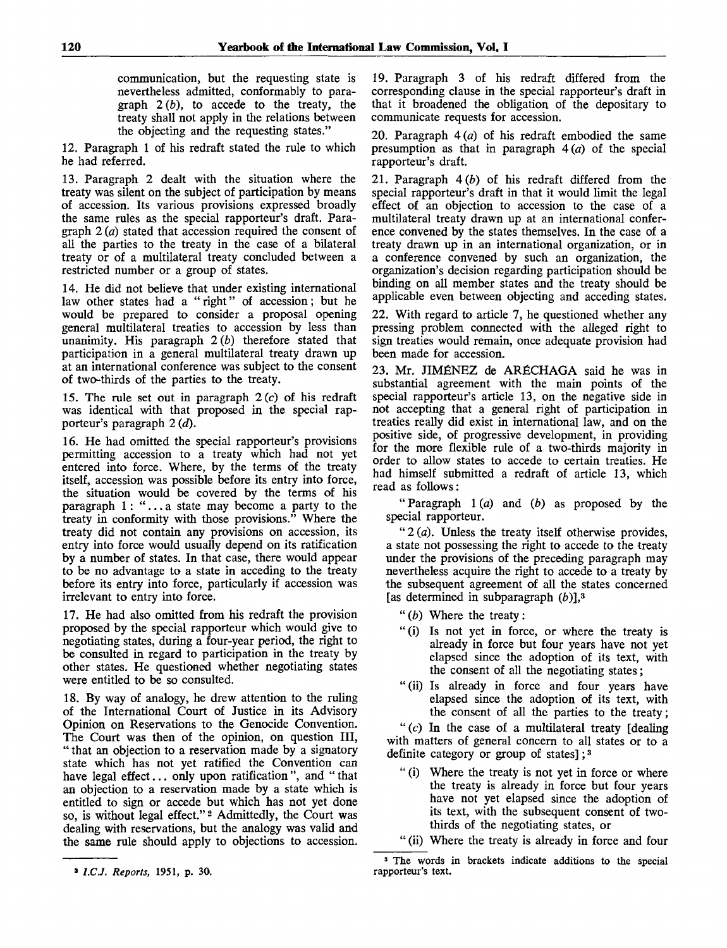communication, but the requesting state is nevertheless admitted, conformably to paragraph *2(b),* to accede to the treaty, the treaty shall not apply in the relations between the objecting and the requesting states."

12. Paragraph 1 of his redraft stated the rule to which he had referred.

13. Paragraph 2 dealt with the situation where the treaty was silent on the subject of participation by means of accession. Its various provisions expressed broadly the same rules as the special rapporteur's draft. Paragraph 2 *(a)* stated that accession required the consent of all the parties to the treaty in the case of a bilateral treaty or of a multilateral treaty concluded between a restricted number or a group of states.

14. He did not believe that under existing international law other states had a " right" of accession; but he would be prepared to consider a proposal opening general multilateral treaties to accession by less than unanimity. His paragraph *2{b)* therefore stated that participation in a general multilateral treaty drawn up at an international conference was subject to the consent of two-thirds of the parties to the treaty.

15. The rule set out in paragraph  $2(c)$  of his redraft was identical with that proposed in the special rapporteur's paragraph 2 *(d).*

16. He had omitted the special rapporteur's provisions permitting accession to a treaty which had not yet entered into force. Where, by the terms of the treaty itself, accession was possible before its entry into force, the situation would be covered by the terms of his paragraph 1: ".. . a state may become a party to the treaty in conformity with those provisions." Where the treaty did not contain any provisions on accession, its entry into force would usually depend on its ratification by a number of states. In that case, there would appear to be no advantage to a state in acceding to the treaty before its entry into force, particularly if accession was irrelevant to entry into force.

17. He had also omitted from his redraft the provision proposed by the special rapporteur which would give to negotiating states, during a four-year period, the right to be consulted in regard to participation in the treaty by other states. He questioned whether negotiating states were entitled to be so consulted.

18. By way of analogy, he drew attention to the ruling of the International Court of Justice in its Advisory Opinion on Reservations to the Genocide Convention. The Court was then of the opinion, on question III, " that an objection to a reservation made by a signatory state which has not yet ratified the Convention can have legal effect... only upon ratification ", and " that an objection to a reservation made by a state which is entitled to sign or accede but which has not yet done so, is without legal effect."<sup>2</sup> Admittedly, the Court was dealing with reservations, but the analogy was valid and the same rule should apply to objections to accession.

19. Paragraph 3 of his redraft differed from the corresponding clause in the special rapporteur's draft in that it broadened the obligation of the depositary to communicate requests for accession.

20. Paragraph  $4(a)$  of his redraft embodied the same presumption as that in paragraph  $4(a)$  of the special rapporteur's draft.

21. Paragraph *4(b)* of his redraft differed from the special rapporteur's draft in that it would limit the legal effect of an objection to accession to the case of a multilateral treaty drawn up at an international conference convened by the states themselves. In the case of a treaty drawn up in an international organization, or in a conference convened by such an organization, the organization's decision regarding participation should be binding on all member states and the treaty should be applicable even between objecting and acceding states.

22. With regard to article 7, he questioned whether any pressing problem connected with the alleged right to sign treaties would remain, once adequate provision had been made for accession.

23. Mr. JIMENEZ de ARfiCHAGA said he was in substantial agreement with the main points of the special rapporteur's article 13, on the negative side in not accepting that a general right of participation in treaties really did exist in international law, and on the positive side, of progressive development, in providing for the more flexible rule of a two-thirds majority in order to allow states to accede to certain treaties. He had himself submitted a redraft of article 13, which read as follows:

" Paragraph 1 (a) and *(b)* as proposed by the special rapporteur.

" $2(a)$ . Unless the treaty itself otherwise provides, a state not possessing the right to accede to the treaty under the provisions of the preceding paragraph may nevertheless acquire the right to accede to a treaty by the subsequent agreement of all the states concerned [as determined in subparagraph *(b)],*<sup>3</sup>

- " *{b)* Where the treaty:
- "(i) Is not yet in force, or where the treaty is already in force but four years have not yet elapsed since the adoption of its text, with the consent of all the negotiating states;
- "(ii) Is already in force and four years have elapsed since the adoption of its text, with the consent of all the parties to the treaty;

" $(c)$  In the case of a multilateral treaty [dealing with matters of general concern to all states or to a definite category or group of states];<sup>3</sup>

" (i) Where the treaty is not yet in force or where the treaty is already in force but four years have not yet elapsed since the adoption of its text, with the subsequent consent of twothirds of the negotiating states, or

<sup>3</sup>  *l.CJ. Reports,* 1951, p. 30.

<sup>&</sup>quot; (ii) Where the treaty is already in force and four

<sup>3</sup> The words in brackets indicate additions to the special rapporteur's text.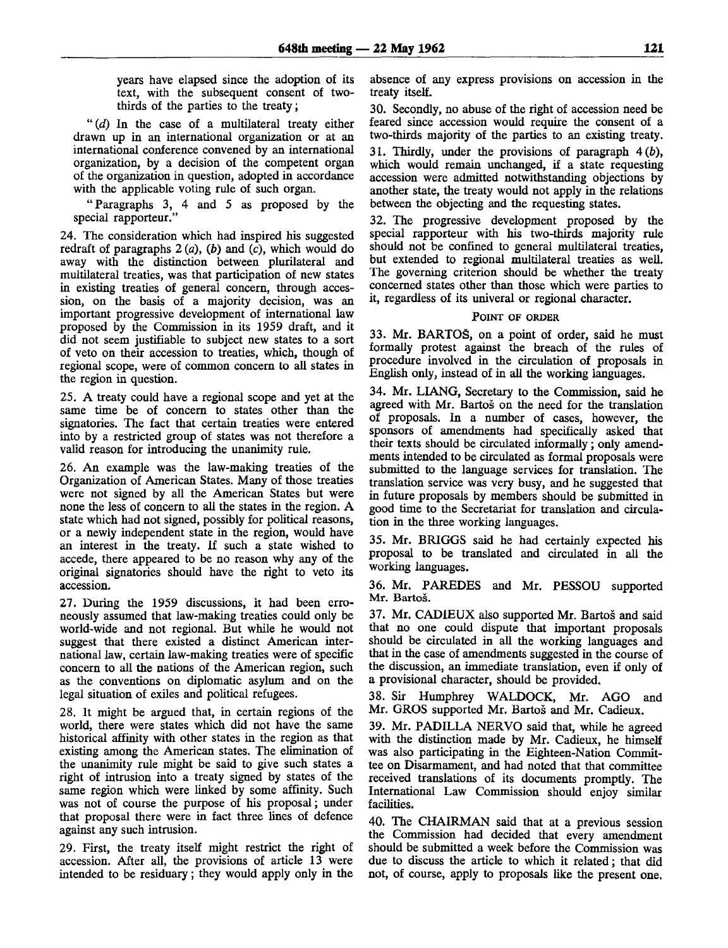years have elapsed since the adoption of its text, with the subsequent consent of twothirds of the parties to the treaty;

*"(d)* In the case of a multilateral treaty either drawn up in an international organization or at an international conference convened by an international organization, by a decision of the competent organ of the organization in question, adopted in accordance with the applicable voting rule of such organ.

"Paragraphs 3, 4 and 5 as proposed by the special rapporteur."

24. The consideration which had inspired his suggested redraft of paragraphs  $2(a)$ ,  $(b)$  and  $(c)$ , which would do away with the distinction between plurilateral and multilateral treaties, was that participation of new states in existing treaties of general concern, through accession, on the basis of a majority decision, was an important progressive development of international law proposed by the Commission in its 1959 draft, and it did not seem justifiable to subject new states to a sort of veto on their accession to treaties, which, though of regional scope, were of common concern to all states in the region in question.

25. A treaty could have a regional scope and yet at the same time be of concern to states other than the signatories. The fact that certain treaties were entered into by a restricted group of states was not therefore a valid reason for introducing the unanimity rule.

26. An example was the law-making treaties of the Organization of American States. Many of those treaties were not signed by all the American States but were none the less of concern to all the states in the region. A state which had not signed, possibly for political reasons, or a newly independent state in the region, would have an interest in the treaty. If such a state wished to accede, there appeared to be no reason why any of the original signatories should have the right to veto its accession.

27. During the 1959 discussions, it had been erroneously assumed that law-making treaties could only be world-wide and not regional. But while he would not suggest that there existed a distinct American international law, certain law-making treaties were of specific concern to all the nations of the American region, such as the conventions on diplomatic asylum and on the legal situation of exiles and political refugees.

28. It might be argued that, in certain regions of the world, there were states which did not have the same historical affinity with other states in the region as that existing among the American states. The elimination of the unanimity rule might be said to give such states a right of intrusion into a treaty signed by states of the same region which were linked by some affinity. Such was not of course the purpose of his proposal; under that proposal there were in fact three lines of defence against any such intrusion.

29. First, the treaty itself might restrict the right of accession. After all, the provisions of article 13 were intended to be residuary; they would apply only in the

absence of any express provisions on accession in the treaty itself.

30. Secondly, no abuse of the right of accession need be feared since accession would require the consent of a two-thirds majority of the parties to an existing treaty. 31. Thirdly, under the provisions of paragraph  $4(b)$ , which would remain unchanged, if a state requesting accession were admitted notwithstanding objections by another state, the treaty would not apply in the relations between the objecting and the requesting states.

32. The progressive development proposed by the special rapporteur with his two-thirds majority rule should not be confined to general multilateral treaties, but extended to regional multilateral treaties as well. The governing criterion should be whether the treaty concerned states other than those which were parties to it, regardless of its univeral or regional character.

#### POINT OF ORDER

33. Mr. BARTOS, on a point of order, said he must formally protest against the breach of the rules of procedure involved in the circulation of proposals in English only, instead of in all the working languages.

34. Mr. LIANG, Secretary to the Commission, said he agreed with Mr. Bartos on the need for the translation of proposals. In a number of cases, however, the sponsors of amendments had specifically asked that their texts should be circulated informally; only amendments intended to be circulated as formal proposals were submitted to the language services for translation. The translation service was very busy, and he suggested that in future proposals by members should be submitted in good time to the Secretariat for translation and circulation in the three working languages.

35. Mr. BRIGGS said he had certainly expected his proposal to be translated and circulated in all the working languages.

36. Mr. PAREDES and Mr. PESSOU supported Mr. Bartoš.

37. Mr. CADIEUX also supported Mr. Bartos and said that no one could dispute that important proposals should be circulated in all the working languages and that in the case of amendments suggested in the course of the discussion, an immediate translation, even if only of a provisional character, should be provided.

38. Sir Humphrey WALDOCK, Mr. AGO and Mr. GROS supported Mr. Bartos and Mr. Cadieux.

39. Mr. PADILLA NERVO said that, while he agreed with the distinction made by Mr. Cadieux, he himself was also participating in the Eighteen-Nation Committee on Disarmament, and had noted that that committee received translations of its documents promptly. The International Law Commission should enjoy similar facilities.

40. The CHAIRMAN said that at a previous session the Commission had decided that every amendment should be submitted a week before the Commission was due to discuss the article to which it related; that did not, of course, apply to proposals like the present one.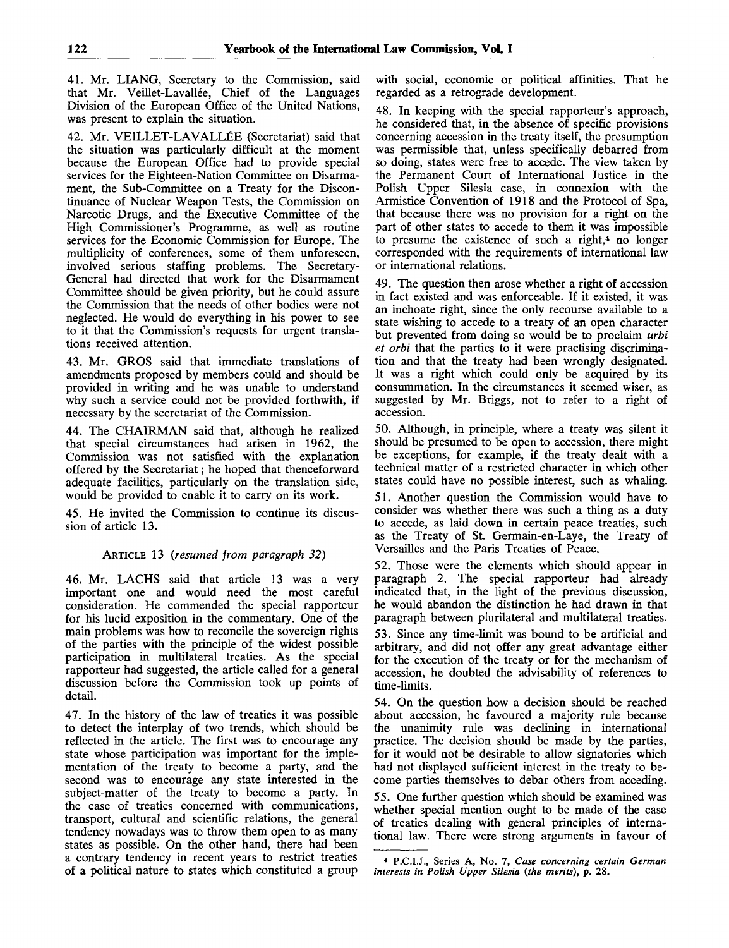41. Mr. LIANG, Secretary to the Commission, said that Mr. Veillet-Lavallée, Chief of the Languages Division of the European Office of the United Nations, was present to explain the situation.

42. Mr. VEILLET-LAVALLEE (Secretariat) said that the situation was particularly difficult at the moment because the European Office had to provide special services for the Eighteen-Nation Committee on Disarmament, the Sub-Committee on a Treaty for the Discontinuance of Nuclear Weapon Tests, the Commission on Narcotic Drugs, and the Executive Committee of the High Commissioner's Programme, as well as routine services for the Economic Commission for Europe. The multiplicity of conferences, some of them unforeseen, involved serious staffing problems. The Secretary-General had directed that work for the Disarmament Committee should be given priority, but he could assure the Commission that the needs of other bodies were not neglected. He would do everything in his power to see to it that the Commission's requests for urgent translations received attention.

43. Mr. GROS said that immediate translations of amendments proposed by members could and should be provided in writing and he was unable to understand why such a service could not be provided forthwith, if necessary by the secretariat of the Commission.

44. The CHAIRMAN said that, although he realized that special circumstances had arisen in 1962, the Commission was not satisfied with the explanation offered by the Secretariat; he hoped that thenceforward adequate facilities, particularly on the translation side, would be provided to enable it to carry on its work.

45. He invited the Commission to continue its discussion of article 13.

## ARTICLE 13 *(resumed from paragraph 32)*

46. Mr. LACHS said that article 13 was a very important one and would need the most careful consideration. He commended the special rapporteur for his lucid exposition in the commentary. One of the main problems was how to reconcile the sovereign rights of the parties with the principle of the widest possible participation in multilateral treaties. As the special rapporteur had suggested, the article called for a general discussion before the Commission took up points of detail.

47. In the history of the law of treaties it was possible to detect the interplay of two trends, which should be reflected in the article. The first was to encourage any state whose participation was important for the implementation of the treaty to become a party, and the second was to encourage any state interested in the subject-matter of the treaty to become a party. In the case of treaties concerned with communications, transport, cultural and scientific relations, the general tendency nowadays was to throw them open to as many states as possible. On the other hand, there had been a contrary tendency in recent years to restrict treaties of a political nature to states which constituted a group with social, economic or political affinities. That he regarded as a retrograde development.

48. In keeping with the special rapporteur's approach, he considered that, in the absence of specific provisions concerning accession in the treaty itself, the presumption was permissible that, unless specifically debarred from so doing, states were free to accede. The view taken by the Permanent Court of International Justice in the Polish Upper Silesia case, in connexion with the Armistice Convention of 1918 and the Protocol of Spa, that because there was no provision for a right on the part of other states to accede to them it was impossible to presume the existence of such a right,<sup>4</sup> no longer corresponded with the requirements of international law or international relations.

49. The question then arose whether a right of accession in fact existed and was enforceable. If it existed, it was an inchoate right, since the only recourse available to a state wishing to accede to a treaty of an open character but prevented from doing so would be to proclaim *urbi et orbi* that the parties to it were practising discrimination and that the treaty had been wrongly designated. It was a right which could only be acquired by its consummation. In the circumstances it seemed wiser, as suggested by Mr. Briggs, not to refer to a right of accession.

50. Although, in principle, where a treaty was silent it should be presumed to be open to accession, there might be exceptions, for example, if the treaty dealt with a technical matter of a restricted character in which other states could have no possible interest, such as whaling.

51. Another question the Commission would have to consider was whether there was such a thing as a duty to accede, as laid down in certain peace treaties, such as the Treaty of St. Germain-en-Laye, the Treaty of Versailles and the Paris Treaties of Peace.

52. Those were the elements which should appear in paragraph 2. The special rapporteur had already indicated that, in the light of the previous discussion, he would abandon the distinction he had drawn in that paragraph between plurilateral and multilateral treaties.

53. Since any time-limit was bound to be artificial and arbitrary, and did not offer any great advantage either for the execution of the treaty or for the mechanism of accession, he doubted the advisability of references to time-limits.

54. On the question how a decision should be reached about accession, he favoured a majority rule because the unanimity rule was declining in international practice. The decision should be made by the parties, for it would not be desirable to allow signatories which had not displayed sufficient interest in the treaty to become parties themselves to debar others from acceding.

55. One further question which should be examined was whether special mention ought to be made of the case of treaties dealing with general principles of international law. There were strong arguments in favour of

<sup>4</sup> P.C.U., Series A, No. *1, Case concerning certain German interests in Polish Upper Silesia (the merits),* p. 28.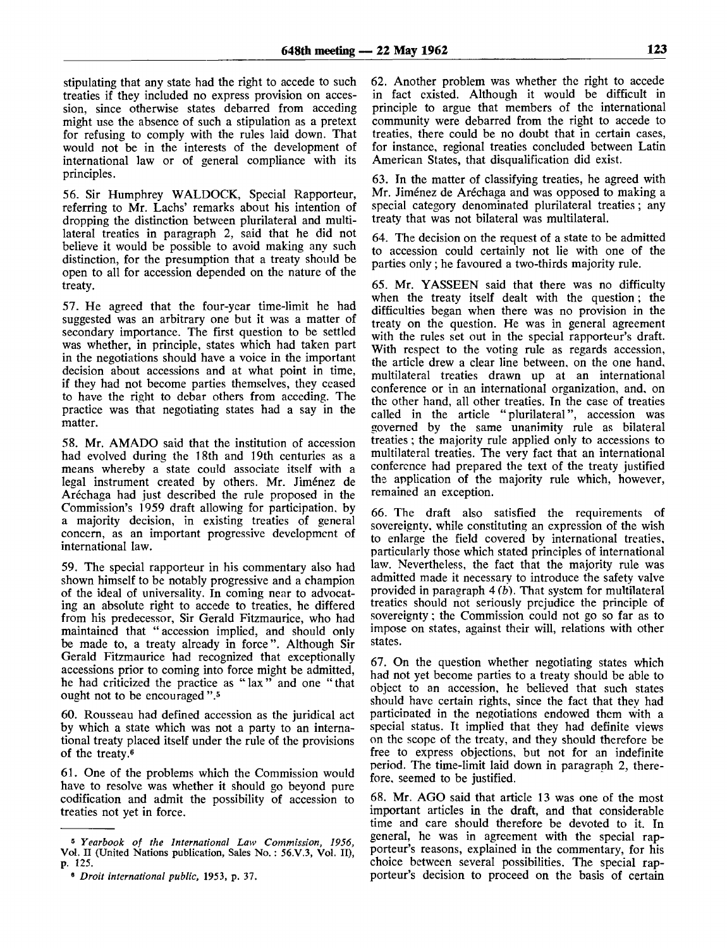stipulating that any state had the right to accede to such treaties if they included no express provision on accession, since otherwise states debarred from acceding might use the absence of such a stipulation as a pretext for refusing to comply with the rules laid down. That would not be in the interests of the development of international law or of general compliance with its principles.

56. Sir Humphrey WALDOCK, Special Rapporteur, referring to Mr. Lachs' remarks about his intention of dropping the distinction between plurilateral and multilateral treaties in paragraph 2, said that he did not believe it would be possible to avoid making any such distinction, for the presumption that a treaty should be open to all for accession depended on the nature of the treaty.

57. He agreed that the four-year time-limit he had suggested was an arbitrary one but it was a matter of secondary importance. The first question to be settled was whether, in principle, states which had taken part in the negotiations should have a voice in the important decision about accessions and at what point in time, if they had not become parties themselves, they ceased to have the right to debar others from acceding. The practice was that negotiating states had a say in the matter.

58. Mr. AMADO said that the institution of accession had evolved during the 18th and 19th centuries as a means whereby a state could associate itself with a legal instrument created by others. Mr. Jiménez de Arechaga had just described the rule proposed in the Commission's 1959 draft allowing for participation, by a majority decision, in existing treaties of general concern, as an important progressive development of international law.

59. The special rapporteur in his commentary also had shown himself to be notably progressive and a champion of the ideal of universality. In coming near to advocating an absolute right to accede to treaties, he differed from his predecessor, Sir Gerald Fitzmaurice, who had maintained that " accession implied, and should only be made to, a treaty already in force". Although Sir Gerald Fitzmaurice had recognized that exceptionally accessions prior to coming into force might be admitted, he had criticized the practice as "lax" and one "that ought not to be encouraged ".<sup>5</sup>

60. Rousseau had defined accession as the juridical act by which a state which was not a party to an international treaty placed itself under the rule of the provisions of the treaty.<sup>6</sup>

61. One of the problems which the Commission would have to resolve was whether it should go beyond pure codification and admit the possibility of accession to treaties not yet in force.

62. Another problem was whether the right to accede in fact existed. Although it would be difficult in principle to argue that members of the international community were debarred from the right to accede to treaties, there could be no doubt that in certain cases, for instance, regional treaties concluded between Latin American States, that disqualification did exist.

63. In the matter of classifying treaties, he agreed with Mr. Jiménez de Aréchaga and was opposed to making a special category denominated plurilateral treaties; any treaty that was not bilateral was multilateral.

64. The decision on the request of a state to be admitted to accession could certainly not lie with one of the parties only ; he favoured a two-thirds majority rule.

65. Mr. YASSEEN said that there was no difficulty when the treaty itself dealt with the question ; the difficulties began when there was no provision in the treaty on the question. He was in general agreement with the rules set out in the special rapporteur's draft. With respect to the voting rule as regards accession, the article drew a clear line between, on the one hand, multilateral treaties drawn up at an international conference or in an international organization, and, on the other hand, all other treaties. In the case of treaties called in the article "plurilateral", accession was governed by the same unanimity rule as bilateral treaties ; the majority rule applied only to accessions to multilateral treaties. The very fact that an international conference had prepared the text of the treaty justified the application of the majority rule which, however, remained an exception.

66. The draft also satisfied the requirements of sovereignty, while constituting an expression of the wish to enlarge the field covered by international treaties, particularly those which stated principles of international law. Nevertheless, the fact that the majority rule was admitted made it necessary to introduce the safety valve provided in paragraph 4 *(b).* That system for multilateral treaties should not seriously prejudice the principle of sovereignty; the Commission could not go so far as to impose on states, against their will, relations with other states.

67. On the question whether negotiating states which had not yet become parties to a treaty should be able to object to an accession, he believed that such states should have certain rights, since the fact that they had participated in the negotiations endowed them with a special status. It implied that they had definite views on the scope of the treaty, and they should therefore be free to express objections, but not for an indefinite period. The time-limit laid down in paragraph 2, therefore, seemed to be justified.

68. Mr. AGO said that article 13 was one of the most important articles in the draft, and that considerable time and care should therefore be devoted to it. In general, he was in agreement with the special rapporteur's reasons, explained in the commentary, for his choice between several possibilities. The special rapporteur's decision to proceed on the basis of certain

<sup>5</sup>  *Yearbook of the International Law Commission, 1956,* Vol. II (United Nations publication, Sales No. : 56.V.3, Vol. II), p. 125.

<sup>6</sup>  *Droit international public,* 1953, p. 37.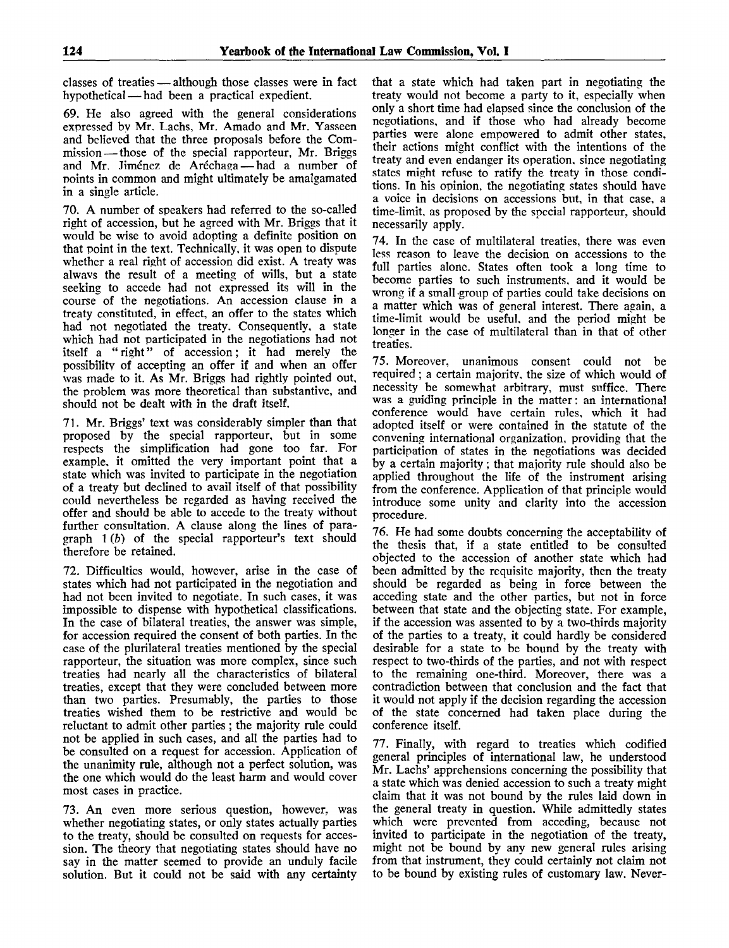classes of treaties — although those classes were in fact hypothetical — had been a practical expedient.

69. He also agreed with the general considerations expressed bv Mr. Lachs, Mr. Amado and Mr. Yasseen and believed that the three proposals before the Commission— those of the special rapporteur, Mr. Briggs and Mr. Jimenez de Arechaga— had a number of points in common and might ultimately be amalgamated in a single article.

70. A number of speakers had referred to the so-called right of accession, but he agreed with Mr. Briggs that it would be wise to avoid adopting a definite position on that point in the text. Technically, it was open to dispute whether a real right of accession did exist. A treaty was alwavs the result of a meeting of wills, but a state seeking to accede had not expressed its will in the course of the negotiations. An accession clause in a treaty constituted, in effect, an offer to the states which had not negotiated the treaty. Consequently, a state which had not participated in the negotiations had not itself a " right" of accession; it had merely the possibility of accepting an offer if and when an offer was made to it. As Mr. Briggs had rightly pointed out, the problem was more theoretical than substantive, and should not be dealt with in the draft itself.

71. Mr. Briggs' text was considerably simpler than that proposed by the special rapporteur, but in some respects the simplification had gone too far. For example, it omitted the very important point that a state which was invited to participate in the negotiation of a treaty but declined to avail itself of that possibility could nevertheless be regarded as having received the offer and should be able to accede to the treaty without further consultation. A clause along the lines of paragraph 1 *(b)* of the special rapporteur's text should therefore be retained.

72. Difficulties would, however, arise in the case of states which had not participated in the negotiation and had not been invited to negotiate. In such cases, it was impossible to dispense with hypothetical classifications. In the case of bilateral treaties, the answer was simple, for accession required the consent of both parties. In the case of the plurilateral treaties mentioned by the special rapporteur, the situation was more complex, since such treaties had nearly all the characteristics of bilateral treaties, except that they were concluded between more than two parties. Presumably, the parties to those treaties wished them to be restrictive and would be reluctant to admit other parties; the majority rule could not be applied in such cases, and all the parties had to be consulted on a request for accession. Application of the unanimity rule, although not a perfect solution, was the one which would do the least harm and would cover most cases in practice.

73. An even more serious question, however, was whether negotiating states, or only states actually parties to the treaty, should be consulted on requests for accession. The theory that negotiating states should have no say in the matter seemed to provide an unduly facile solution. But it could not be said with any certainty

that a state which had taken part in negotiating the treaty would not become a party to it, especially when only a short time had elapsed since the conclusion of the negotiations, and if those who had already become parties were alone empowered to admit other states, their actions might conflict with the intentions of the treaty and even endanger its operation, since negotiating states might refuse to ratify the treaty in those conditions. Tn his opinion, the negotiating states should have a voice in decisions on accessions but, in that case, a time-limit, as proposed by the special rapporteur, should necessarily apply.

74. In the case of multilateral treaties, there was even less reason to leave the decision on accessions to the full parties alone. States often took a long time to become parties to such instruments, and it would be wrong if a small group of parties could take decisions on a matter which was of general interest. There again, a time-limit would be useful, and the period might be longer in the case of multilateral than in that of other treaties.

75. Moreover, unanimous consent could not be required; a certain majoritv, the size of which would of necessity be somewhat arbitrary, must suffice. There was a guiding principle in the matter: an international conference would have certain rules, which it had adopted itself or were contained in the statute of the convening international organization, providing that the participation of states in the negotiations was decided by a certain majority; that majority rule should also be applied throughout the life of the instrument arising from the conference. Application of that principle would introduce some unity and clarity into the accession procedure.

76. He had some doubts concerning the acceptability of the thesis that, if a state entitled to be consulted objected to the accession of another state which had been admitted by the requisite majority, then the treaty should be regarded as being in force between the acceding state and the other parties, but not in force between that state and the objecting state. For example, if the accession was assented to by a two-thirds majority of the parties to a treaty, it could hardly be considered desirable for a state to be bound by the treaty with respect to two-thirds of the parties, and not with respect to the remaining one-third. Moreover, there was a contradiction between that conclusion and the fact that it would not apply if the decision regarding the accession of the state concerned had taken place during the conference itself.

77. Finally, with regard to treaties which codified general principles of international law, he understood Mr. Lachs' apprehensions concerning the possibility that a state which was denied accession to such a treaty might claim that it was not bound by the rules laid down in the general treaty in question. While admittedly states which were prevented from acceding, because not invited to participate in the negotiation of the treaty, might not be bound by any new general rules arising from that instrument, they could certainly not claim not to be bound by existing rules of customary law. Never-